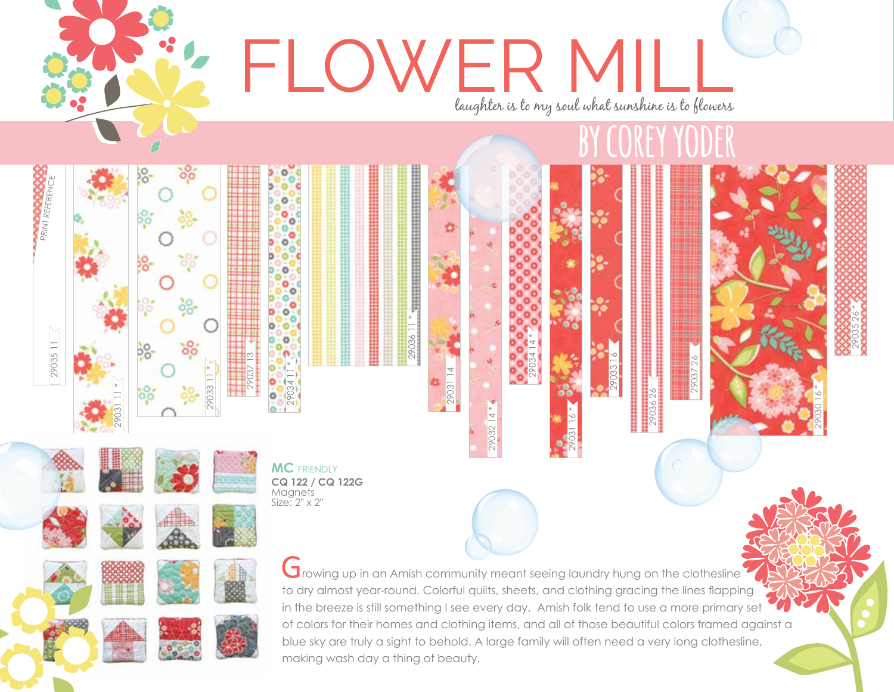

making wash day a thing of beauty.